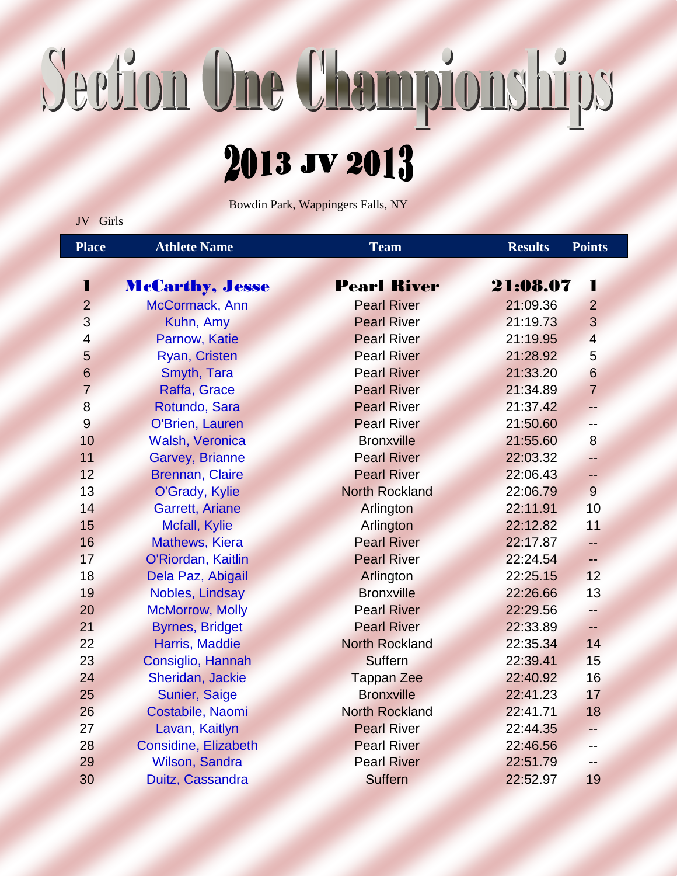## Section One Championships

## 2013 JV 2013

Bowdin Park, Wappingers Falls, NY

JV Girls

| <b>Place</b>   | <b>Athlete Name</b>            | <b>Team</b>           | <b>Results</b> | <b>Points</b>  |
|----------------|--------------------------------|-----------------------|----------------|----------------|
|                |                                |                       |                |                |
| 1              | <b>McCarthy</b> , <b>Jesse</b> | <b>Pearl River</b>    | 21:08.07       | 1              |
| $\overline{2}$ | McCormack, Ann                 | <b>Pearl River</b>    | 21:09.36       | $\overline{2}$ |
| 3              | Kuhn, Amy                      | <b>Pearl River</b>    | 21:19.73       | 3              |
| $\overline{4}$ | Parnow, Katie                  | <b>Pearl River</b>    | 21:19.95       | $\overline{4}$ |
| 5              | Ryan, Cristen                  | <b>Pearl River</b>    | 21:28.92       | 5              |
| 6              | Smyth, Tara                    | <b>Pearl River</b>    | 21:33.20       | 6              |
| $\overline{7}$ | Raffa, Grace                   | <b>Pearl River</b>    | 21:34.89       | $\overline{7}$ |
| 8              | Rotundo, Sara                  | <b>Pearl River</b>    | 21:37.42       | 44             |
| 9              | O'Brien, Lauren                | <b>Pearl River</b>    | 21:50.60       | 44             |
| 10             | <b>Walsh, Veronica</b>         | <b>Bronxville</b>     | 21:55.60       | 8              |
| 11             | <b>Garvey, Brianne</b>         | <b>Pearl River</b>    | 22:03.32       | 44             |
| 12             | <b>Brennan, Claire</b>         | <b>Pearl River</b>    | 22:06.43       | 44             |
| 13             | O'Grady, Kylie                 | <b>North Rockland</b> | 22:06.79       | 9              |
| 14             | <b>Garrett, Ariane</b>         | Arlington             | 22:11.91       | 10             |
| 15             | Mcfall, Kylie                  | Arlington             | 22:12.82       | 11             |
| 16             | <b>Mathews, Kiera</b>          | <b>Pearl River</b>    | 22:17.87       | 44             |
| 17             | O'Riordan, Kaitlin             | <b>Pearl River</b>    | 22:24.54       | --             |
| 18             | Dela Paz, Abigail              | Arlington             | 22:25.15       | 12             |
| 19             | Nobles, Lindsay                | <b>Bronxville</b>     | 22:26.66       | 13             |
| 20             | <b>McMorrow, Molly</b>         | <b>Pearl River</b>    | 22:29.56       | $-$            |
| 21             | <b>Byrnes, Bridget</b>         | <b>Pearl River</b>    | 22:33.89       | 44             |
| 22             | Harris, Maddie                 | <b>North Rockland</b> | 22:35.34       | 14             |
| 23             | Consiglio, Hannah              | Suffern               | 22:39.41       | 15             |
| 24             | Sheridan, Jackie               | <b>Tappan Zee</b>     | 22:40.92       | 16             |
| 25             | Sunier, Saige                  | <b>Bronxville</b>     | 22:41.23       | 17             |
| 26             | Costabile, Naomi               | <b>North Rockland</b> | 22:41.71       | 18             |
| 27             | Lavan, Kaitlyn                 | <b>Pearl River</b>    | 22:44.35       | 44             |
| 28             | <b>Considine, Elizabeth</b>    | <b>Pearl River</b>    | 22:46.56       | $-$            |
| 29             | Wilson, Sandra                 | <b>Pearl River</b>    | 22:51.79       | 44             |
| 30             | Duitz, Cassandra               | <b>Suffern</b>        | 22:52.97       | 19             |
|                |                                |                       |                |                |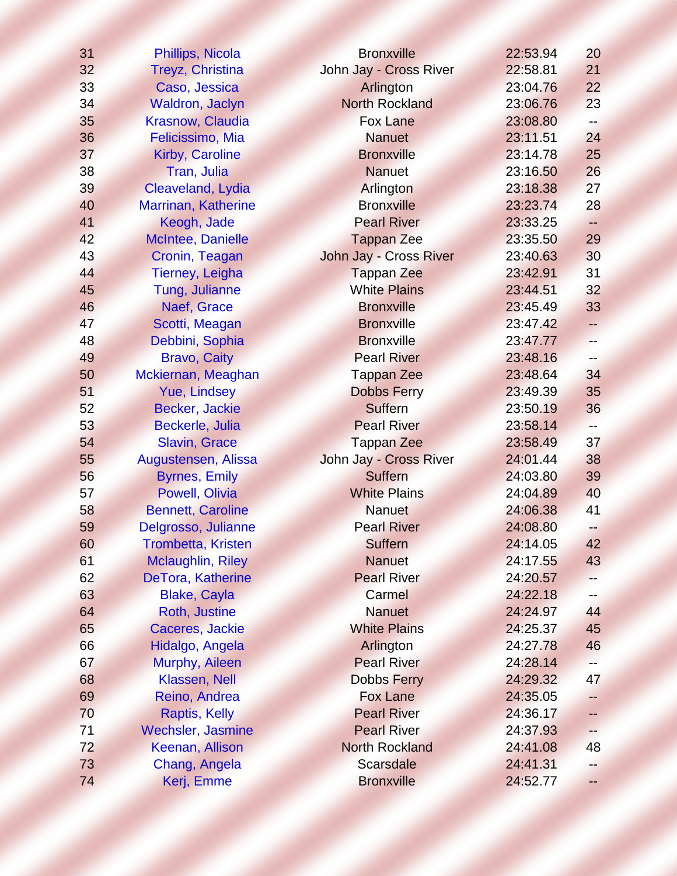| 31 | Phillips, Nicola          | <b>Bronxville</b>      | 22:53.94 | 20                       |
|----|---------------------------|------------------------|----------|--------------------------|
| 32 | Treyz, Christina          | John Jay - Cross River | 22:58.81 | 21                       |
| 33 | Caso, Jessica             | Arlington              | 23:04.76 | 22                       |
| 34 | Waldron, Jaclyn           | <b>North Rockland</b>  | 23:06.76 | 23                       |
| 35 | Krasnow, Claudia          | <b>Fox Lane</b>        | 23:08.80 |                          |
| 36 | Felicissimo, Mia          | <b>Nanuet</b>          | 23:11.51 | 24                       |
| 37 | Kirby, Caroline           | <b>Bronxville</b>      | 23:14.78 | 25                       |
| 38 | Tran, Julia               | <b>Nanuet</b>          | 23:16.50 | 26                       |
| 39 | Cleaveland, Lydia         | Arlington              | 23:18.38 | 27                       |
| 40 | Marrinan, Katherine       | <b>Bronxville</b>      | 23:23.74 | 28                       |
| 41 | Keogh, Jade               | <b>Pearl River</b>     | 23:33.25 | $\overline{\phantom{a}}$ |
| 42 | McIntee, Danielle         | <b>Tappan Zee</b>      | 23:35.50 | 29                       |
| 43 | Cronin, Teagan            | John Jay - Cross River | 23:40.63 | 30                       |
| 44 | Tierney, Leigha           | <b>Tappan Zee</b>      | 23:42.91 | 31                       |
| 45 | Tung, Julianne            | <b>White Plains</b>    | 23:44.51 | 32                       |
| 46 | Naef, Grace               | <b>Bronxville</b>      | 23:45.49 | 33                       |
| 47 | Scotti, Meagan            | <b>Bronxville</b>      | 23:47.42 | ⊷                        |
| 48 | Debbini, Sophia           | <b>Bronxville</b>      | 23:47.77 | $-$                      |
| 49 | <b>Bravo, Caity</b>       | <b>Pearl River</b>     | 23:48.16 |                          |
| 50 | Mckiernan, Meaghan        | <b>Tappan Zee</b>      | 23:48.64 | 34                       |
| 51 | Yue, Lindsey              | <b>Dobbs Ferry</b>     | 23:49.39 | 35                       |
| 52 | Becker, Jackie            | Suffern                | 23:50.19 | 36                       |
| 53 | Beckerle, Julia           | <b>Pearl River</b>     | 23:58.14 |                          |
| 54 | <b>Slavin, Grace</b>      | <b>Tappan Zee</b>      | 23:58.49 | 37                       |
| 55 | Augustensen, Alissa       | John Jay - Cross River | 24:01.44 | 38                       |
| 56 | <b>Byrnes, Emily</b>      | <b>Suffern</b>         | 24:03.80 | 39                       |
| 57 | Powell, Olivia            | <b>White Plains</b>    | 24:04.89 | 40                       |
| 58 | <b>Bennett, Caroline</b>  | <b>Nanuet</b>          | 24:06.38 | 41                       |
| 59 | Delgrosso, Julianne       | <b>Pearl River</b>     | 24:08.80 | --                       |
| 60 | <b>Trombetta, Kristen</b> | <b>Suffern</b>         | 24:14.05 | 42                       |
| 61 | <b>Mclaughlin, Riley</b>  | <b>Nanuet</b>          | 24:17.55 | 43                       |
| 62 | DeTora, Katherine         | <b>Pearl River</b>     | 24:20.57 |                          |
| 63 | <b>Blake, Cayla</b>       | Carmel                 | 24:22.18 |                          |
| 64 | Roth, Justine             | <b>Nanuet</b>          | 24:24.97 | 44                       |
| 65 | Caceres, Jackie           | <b>White Plains</b>    | 24:25.37 | 45                       |
| 66 | Hidalgo, Angela           | Arlington              | 24:27.78 | 46                       |
| 67 | Murphy, Aileen            | <b>Pearl River</b>     | 24:28.14 |                          |
| 68 | Klassen, Nell             | <b>Dobbs Ferry</b>     | 24:29.32 | 47                       |
| 69 | Reino, Andrea             | <b>Fox Lane</b>        | 24:35.05 |                          |
| 70 | Raptis, Kelly             | <b>Pearl River</b>     | 24:36.17 |                          |
| 71 | <b>Wechsler, Jasmine</b>  | <b>Pearl River</b>     | 24:37.93 |                          |
| 72 | Keenan, Allison           | <b>North Rockland</b>  | 24:41.08 | 48                       |
| 73 | Chang, Angela             | <b>Scarsdale</b>       | 24:41.31 |                          |
| 74 | Kerj, Emme                | <b>Bronxville</b>      | 24:52.77 |                          |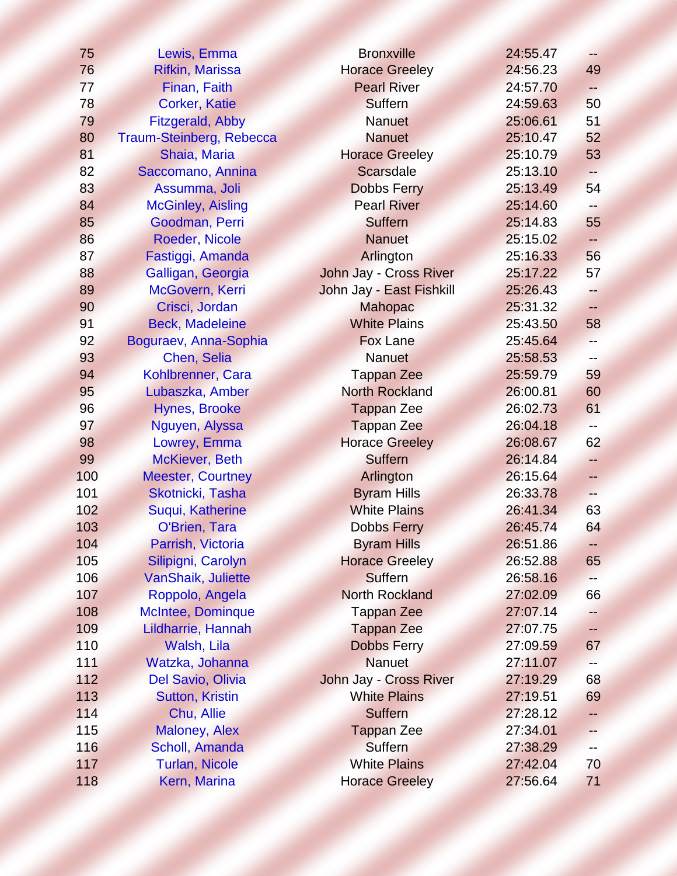| 75  | Lewis, Emma              | <b>Bronxville</b>        | 24:55.47 | $-$          |
|-----|--------------------------|--------------------------|----------|--------------|
| 76  | <b>Rifkin, Marissa</b>   | <b>Horace Greeley</b>    | 24:56.23 | 49           |
| 77  | Finan, Faith             | <b>Pearl River</b>       | 24:57.70 | ⊷            |
| 78  | <b>Corker, Katie</b>     | Suffern                  | 24:59.63 | 50           |
| 79  | <b>Fitzgerald, Abby</b>  | <b>Nanuet</b>            | 25:06.61 | 51           |
| 80  | Traum-Steinberg, Rebecca | <b>Nanuet</b>            | 25:10.47 | 52           |
| 81  | Shaia, Maria             | <b>Horace Greeley</b>    | 25:10.79 | 53           |
| 82  | Saccomano, Annina        | <b>Scarsdale</b>         | 25:13.10 |              |
| 83  | Assumma, Joli            | <b>Dobbs Ferry</b>       | 25:13.49 | 54           |
| 84  | <b>McGinley, Aisling</b> | <b>Pearl River</b>       | 25:14.60 |              |
| 85  | Goodman, Perri           | <b>Suffern</b>           | 25:14.83 | 55           |
| 86  | Roeder, Nicole           | <b>Nanuet</b>            | 25:15.02 |              |
| 87  | Fastiggi, Amanda         | Arlington                | 25:16.33 | 56           |
| 88  | Galligan, Georgia        | John Jay - Cross River   | 25:17.22 | 57           |
| 89  | McGovern, Kerri          | John Jay - East Fishkill | 25:26.43 |              |
| 90  | Crisci, Jordan           | <b>Mahopac</b>           | 25:31.32 | $\leftarrow$ |
| 91  | <b>Beck, Madeleine</b>   | <b>White Plains</b>      | 25:43.50 | 58           |
| 92  | Boguraev, Anna-Sophia    | <b>Fox Lane</b>          | 25:45.64 | --           |
| 93  | Chen, Selia              | <b>Nanuet</b>            | 25:58.53 |              |
| 94  | Kohlbrenner, Cara        | <b>Tappan Zee</b>        | 25:59.79 | 59           |
| 95  | Lubaszka, Amber          | <b>North Rockland</b>    | 26:00.81 | 60           |
| 96  | <b>Hynes, Brooke</b>     | <b>Tappan Zee</b>        | 26:02.73 | 61           |
| 97  | Nguyen, Alyssa           | <b>Tappan Zee</b>        | 26:04.18 |              |
| 98  | Lowrey, Emma             | <b>Horace Greeley</b>    | 26:08.67 | 62           |
| 99  | <b>McKiever, Beth</b>    | <b>Suffern</b>           | 26:14.84 | $-$          |
| 100 | <b>Meester, Courtney</b> | Arlington                | 26:15.64 | -−           |
| 101 | Skotnicki, Tasha         | <b>Byram Hills</b>       | 26:33.78 | н.           |
| 102 | Suqui, Katherine         | <b>White Plains</b>      | 26:41.34 | 63           |
| 103 | O'Brien, Tara            | <b>Dobbs Ferry</b>       | 26:45.74 | 64           |
| 104 | Parrish, Victoria        | <b>Byram Hills</b>       | 26:51.86 | ÷            |
| 105 | Silipigni, Carolyn       | <b>Horace Greeley</b>    | 26:52.88 | 65           |
| 106 | VanShaik, Juliette       | <b>Suffern</b>           | 26:58.16 |              |
| 107 | Roppolo, Angela          | <b>North Rockland</b>    | 27:02.09 | 66           |
| 108 | <b>McIntee, Dominque</b> | <b>Tappan Zee</b>        | 27:07.14 |              |
| 109 | Lildharrie, Hannah       | <b>Tappan Zee</b>        | 27:07.75 |              |
| 110 | Walsh, Lila              | <b>Dobbs Ferry</b>       | 27:09.59 | 67           |
| 111 | Watzka, Johanna          | <b>Nanuet</b>            | 27:11.07 |              |
| 112 | Del Savio, Olivia        | John Jay - Cross River   | 27:19.29 | 68           |
| 113 | <b>Sutton, Kristin</b>   | <b>White Plains</b>      | 27:19.51 | 69           |
| 114 | Chu, Allie               | <b>Suffern</b>           | 27:28.12 |              |
| 115 | <b>Maloney, Alex</b>     | <b>Tappan Zee</b>        | 27:34.01 |              |
| 116 | Scholl, Amanda           | Suffern                  | 27:38.29 |              |
| 117 | <b>Turlan, Nicole</b>    | <b>White Plains</b>      | 27:42.04 | 70           |
| 118 | Kern, Marina             | <b>Horace Greeley</b>    | 27:56.64 | 71           |